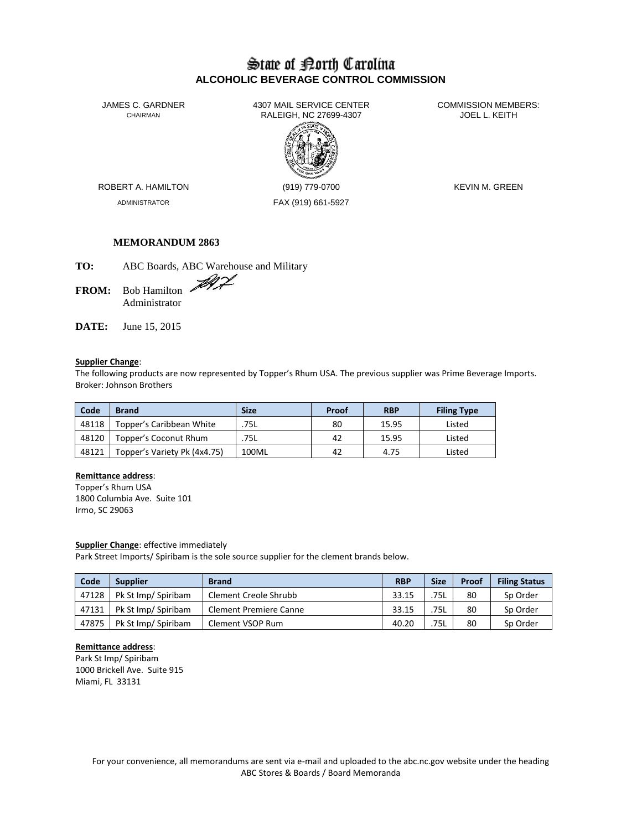# State of Borth Carolina **ALCOHOLIC BEVERAGE CONTROL COMMISSION**

JAMES C. GARDNER 4307 MAIL SERVICE CENTER<br>CHAIRMAN CHAIRMAN RALEIGH, NC 27699-4307 RALEIGH, NC 27699-4307



ADMINISTRATOR FAX (919) 661-5927

ROBERT A. HAMILTON (919) 779-0700 KEVIN M. GREEN

## **MEMORANDUM 2863**

**TO:** ABC Boards, ABC Warehouse and Military

FROM: Bob Hamilton Administrator

**DATE:** June 15, 2015

## **Supplier Change**:

The following products are now represented by Topper's Rhum USA. The previous supplier was Prime Beverage Imports. Broker: Johnson Brothers

| Code  | <b>Brand</b>                 | <b>Size</b> | Proof | <b>RBP</b> | <b>Filing Type</b> |
|-------|------------------------------|-------------|-------|------------|--------------------|
| 48118 | Topper's Caribbean White     | .75L        | 80    | 15.95      | Listed             |
| 48120 | Topper's Coconut Rhum        | .75L        | 42    | 15.95      | Listed             |
| 48121 | Topper's Variety Pk (4x4.75) | 100ML       | 42    | 4.75       | Listed             |

#### **Remittance address**:

Topper's Rhum USA 1800 Columbia Ave. Suite 101 Irmo, SC 29063

#### **Supplier Change**: effective immediately

Park Street Imports/ Spiribam is the sole source supplier for the clement brands below.

| Code  | <b>Supplier</b>     | <b>Brand</b>                  | <b>RBP</b> | <b>Size</b> | Proof | <b>Filing Status</b> |
|-------|---------------------|-------------------------------|------------|-------------|-------|----------------------|
| 47128 | Pk St Imp/ Spiribam | Clement Creole Shrubb         | 33.15      | .75L        | 80    | Sp Order             |
| 47131 | Pk St Imp/ Spiribam | <b>Clement Premiere Canne</b> | 33.15      | .75L        | 80    | Sp Order             |
| 47875 | Pk St Imp/ Spiribam | Clement VSOP Rum              | 40.20      | .75L        | 80    | Sp Order             |

## **Remittance address**:

Park St Imp/ Spiribam 1000 Brickell Ave. Suite 915 Miami, FL 33131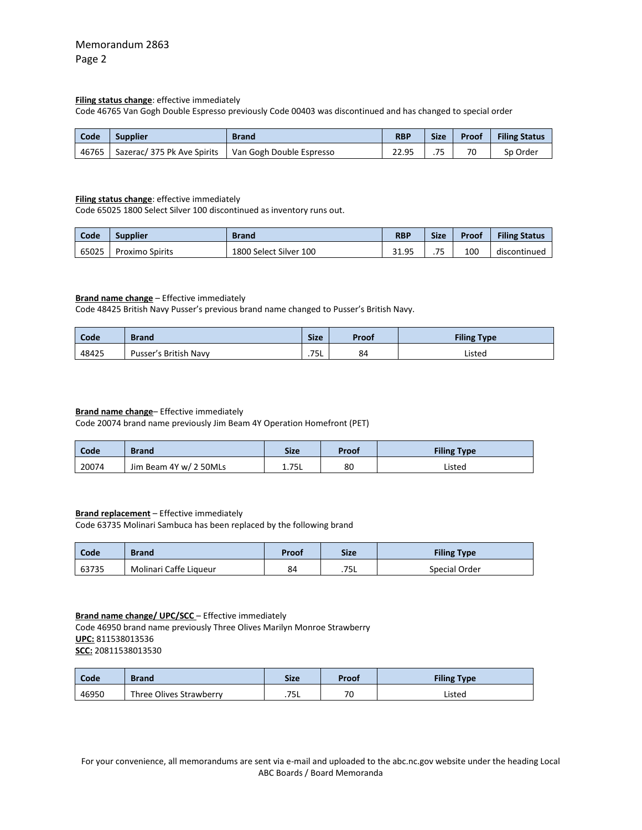#### **Filing status change**: effective immediately

Code 46765 Van Gogh Double Espresso previously Code 00403 was discontinued and has changed to special order

| Code  | <b>Supplier</b>             | <b>Brand</b>             | <b>RBP</b> | <b>Size</b>              | Proof | <b>Filing Status</b> |
|-------|-----------------------------|--------------------------|------------|--------------------------|-------|----------------------|
| 46765 | Sazerac/ 375 Pk Ave Spirits | Van Gogh Double Espresso | 22.95      | $\overline{\phantom{a}}$ | 70    | Sp Order             |

#### **Filing status change**: effective immediately

Code 65025 1800 Select Silver 100 discontinued as inventory runs out.

| Code  | <b>Supplier</b>        | <b>Brand</b>           | <b>RBP</b> | <b>Size</b> | Proof | <b>Filing Status</b> |
|-------|------------------------|------------------------|------------|-------------|-------|----------------------|
| 65025 | <b>Proximo Spirits</b> | 1800 Select Silver 100 | 31.95      | 75<br>.     | 100   | discontinued         |

## **Brand name change** – Effective immediately

Code 48425 British Navy Pusser's previous brand name changed to Pusser's British Navy.

| Code  | <b>Brand</b>          | <b>Size</b> | Proof | <b>Filing Type</b> |
|-------|-----------------------|-------------|-------|--------------------|
| 48425 | Pusser's British Navy | .75L        | 84    | Listed             |

#### **Brand name change**– Effective immediately

Code 20074 brand name previously Jim Beam 4Y Operation Homefront (PET)

| Code  | Brand                  | <b>Size</b> | Proof | <b>Filing Type</b> |
|-------|------------------------|-------------|-------|--------------------|
| 20074 | Jim Beam 4Y w/ 2 50MLs | 1.75L       | 80    | Listed             |

## **Brand replacement** – Effective immediately

Code 63735 Molinari Sambuca has been replaced by the following brand

| Code  | <b>Brand</b>           | Proof | <b>Size</b> | <b>Filing Type</b> |
|-------|------------------------|-------|-------------|--------------------|
| 63735 | Molinari Caffe Liqueur | 84    | .75L        | Special Order      |

#### **Brand name change/ UPC/SCC** – Effective immediately

Code 46950 brand name previously Three Olives Marilyn Monroe Strawberry **UPC:** 811538013536 **SCC:** 20811538013530

| Code  | <b>Brand</b>            | <b>Size</b> | Proof | <b>Filing Type</b> |
|-------|-------------------------|-------------|-------|--------------------|
| 46950 | Three Olives Strawberry | .75L        | 70    | Listed             |

For your convenience, all memorandums are sent via e-mail and uploaded to the abc.nc.gov website under the heading Local ABC Boards / Board Memoranda